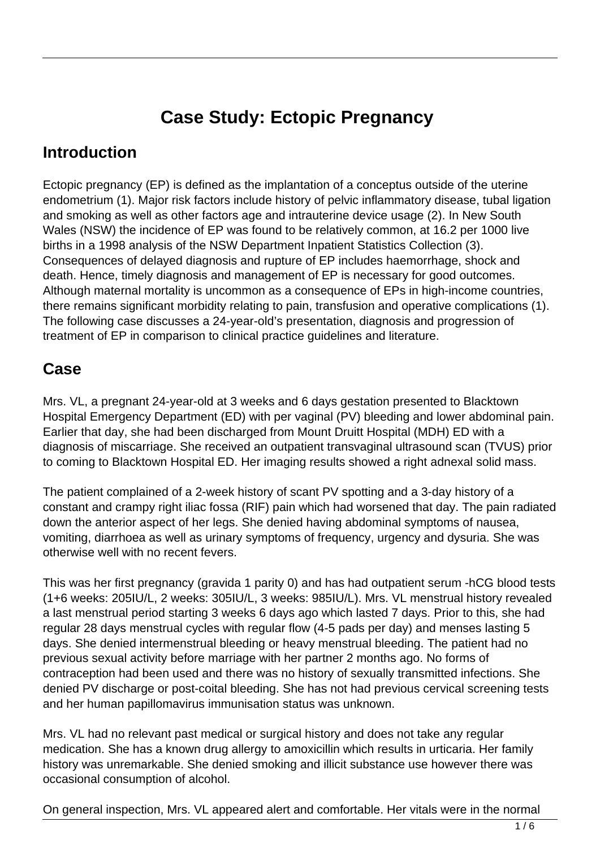# **Case Study: Ectopic Pregnancy**

#### **Introduction**

Ectopic pregnancy (EP) is defined as the implantation of a conceptus outside of the uterine endometrium (1). Major risk factors include history of pelvic inflammatory disease, tubal ligation and smoking as well as other factors age and intrauterine device usage (2). In New South Wales (NSW) the incidence of EP was found to be relatively common, at 16.2 per 1000 live births in a 1998 analysis of the NSW Department Inpatient Statistics Collection (3). Consequences of delayed diagnosis and rupture of EP includes haemorrhage, shock and death. Hence, timely diagnosis and management of EP is necessary for good outcomes. Although maternal mortality is uncommon as a consequence of EPs in high-income countries, there remains significant morbidity relating to pain, transfusion and operative complications (1). The following case discusses a 24-year-old's presentation, diagnosis and progression of treatment of EP in comparison to clinical practice guidelines and literature.

#### **Case**

Mrs. VL, a pregnant 24-year-old at 3 weeks and 6 days gestation presented to Blacktown Hospital Emergency Department (ED) with per vaginal (PV) bleeding and lower abdominal pain. Earlier that day, she had been discharged from Mount Druitt Hospital (MDH) ED with a diagnosis of miscarriage. She received an outpatient transvaginal ultrasound scan (TVUS) prior to coming to Blacktown Hospital ED. Her imaging results showed a right adnexal solid mass.

The patient complained of a 2-week history of scant PV spotting and a 3-day history of a constant and crampy right iliac fossa (RIF) pain which had worsened that day. The pain radiated down the anterior aspect of her legs. She denied having abdominal symptoms of nausea, vomiting, diarrhoea as well as urinary symptoms of frequency, urgency and dysuria. She was otherwise well with no recent fevers.

This was her first pregnancy (gravida 1 parity 0) and has had outpatient serum -hCG blood tests (1+6 weeks: 205IU/L, 2 weeks: 305IU/L, 3 weeks: 985IU/L). Mrs. VL menstrual history revealed a last menstrual period starting 3 weeks 6 days ago which lasted 7 days. Prior to this, she had regular 28 days menstrual cycles with regular flow (4-5 pads per day) and menses lasting 5 days. She denied intermenstrual bleeding or heavy menstrual bleeding. The patient had no previous sexual activity before marriage with her partner 2 months ago. No forms of contraception had been used and there was no history of sexually transmitted infections. She denied PV discharge or post-coital bleeding. She has not had previous cervical screening tests and her human papillomavirus immunisation status was unknown.

Mrs. VL had no relevant past medical or surgical history and does not take any regular medication. She has a known drug allergy to amoxicillin which results in urticaria. Her family history was unremarkable. She denied smoking and illicit substance use however there was occasional consumption of alcohol.

On general inspection, Mrs. VL appeared alert and comfortable. Her vitals were in the normal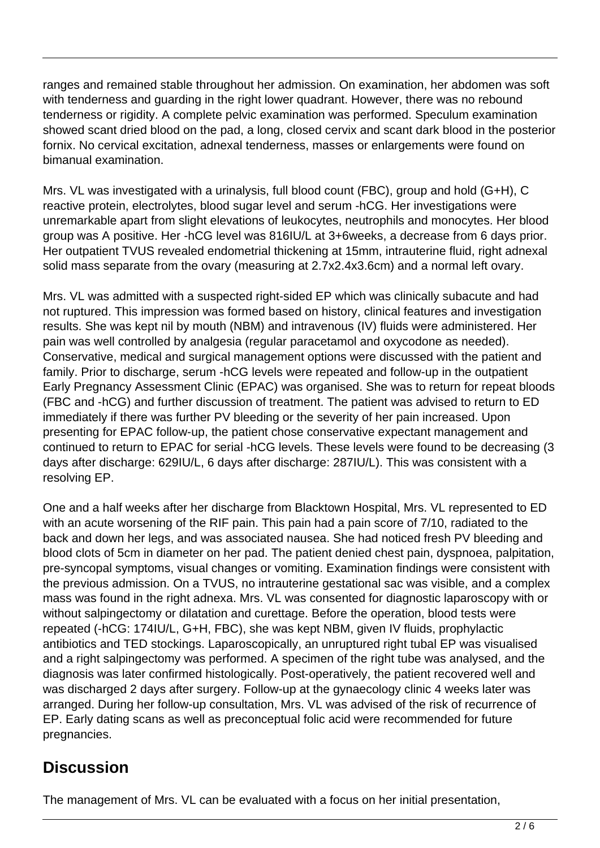ranges and remained stable throughout her admission. On examination, her abdomen was soft with tenderness and guarding in the right lower quadrant. However, there was no rebound tenderness or rigidity. A complete pelvic examination was performed. Speculum examination showed scant dried blood on the pad, a long, closed cervix and scant dark blood in the posterior fornix. No cervical excitation, adnexal tenderness, masses or enlargements were found on bimanual examination.

Mrs. VL was investigated with a urinalysis, full blood count (FBC), group and hold (G+H), C reactive protein, electrolytes, blood sugar level and serum -hCG. Her investigations were unremarkable apart from slight elevations of leukocytes, neutrophils and monocytes. Her blood group was A positive. Her -hCG level was 816IU/L at 3+6weeks, a decrease from 6 days prior. Her outpatient TVUS revealed endometrial thickening at 15mm, intrauterine fluid, right adnexal solid mass separate from the ovary (measuring at 2.7x2.4x3.6cm) and a normal left ovary.

Mrs. VL was admitted with a suspected right-sided EP which was clinically subacute and had not ruptured. This impression was formed based on history, clinical features and investigation results. She was kept nil by mouth (NBM) and intravenous (IV) fluids were administered. Her pain was well controlled by analgesia (regular paracetamol and oxycodone as needed). Conservative, medical and surgical management options were discussed with the patient and family. Prior to discharge, serum -hCG levels were repeated and follow-up in the outpatient Early Pregnancy Assessment Clinic (EPAC) was organised. She was to return for repeat bloods (FBC and -hCG) and further discussion of treatment. The patient was advised to return to ED immediately if there was further PV bleeding or the severity of her pain increased. Upon presenting for EPAC follow-up, the patient chose conservative expectant management and continued to return to EPAC for serial -hCG levels. These levels were found to be decreasing (3 days after discharge: 629IU/L, 6 days after discharge: 287IU/L). This was consistent with a resolving EP.

One and a half weeks after her discharge from Blacktown Hospital, Mrs. VL represented to ED with an acute worsening of the RIF pain. This pain had a pain score of 7/10, radiated to the back and down her legs, and was associated nausea. She had noticed fresh PV bleeding and blood clots of 5cm in diameter on her pad. The patient denied chest pain, dyspnoea, palpitation, pre-syncopal symptoms, visual changes or vomiting. Examination findings were consistent with the previous admission. On a TVUS, no intrauterine gestational sac was visible, and a complex mass was found in the right adnexa. Mrs. VL was consented for diagnostic laparoscopy with or without salpingectomy or dilatation and curettage. Before the operation, blood tests were repeated (-hCG: 174IU/L, G+H, FBC), she was kept NBM, given IV fluids, prophylactic antibiotics and TED stockings. Laparoscopically, an unruptured right tubal EP was visualised and a right salpingectomy was performed. A specimen of the right tube was analysed, and the diagnosis was later confirmed histologically. Post-operatively, the patient recovered well and was discharged 2 days after surgery. Follow-up at the gynaecology clinic 4 weeks later was arranged. During her follow-up consultation, Mrs. VL was advised of the risk of recurrence of EP. Early dating scans as well as preconceptual folic acid were recommended for future pregnancies.

#### **Discussion**

The management of Mrs. VL can be evaluated with a focus on her initial presentation,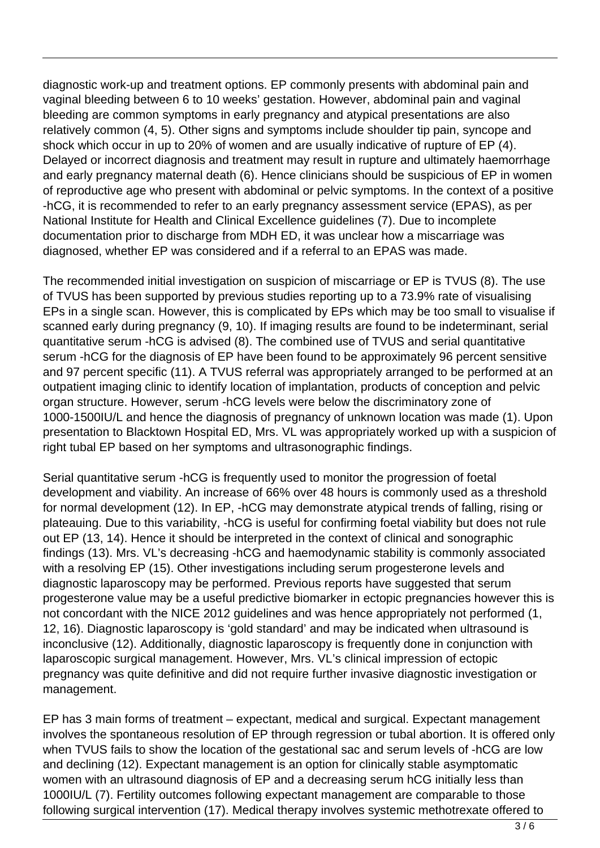diagnostic work-up and treatment options. EP commonly presents with abdominal pain and vaginal bleeding between 6 to 10 weeks' gestation. However, abdominal pain and vaginal bleeding are common symptoms in early pregnancy and atypical presentations are also relatively common (4, 5). Other signs and symptoms include shoulder tip pain, syncope and shock which occur in up to 20% of women and are usually indicative of rupture of EP (4). Delayed or incorrect diagnosis and treatment may result in rupture and ultimately haemorrhage and early pregnancy maternal death (6). Hence clinicians should be suspicious of EP in women of reproductive age who present with abdominal or pelvic symptoms. In the context of a positive -hCG, it is recommended to refer to an early pregnancy assessment service (EPAS), as per National Institute for Health and Clinical Excellence guidelines (7). Due to incomplete documentation prior to discharge from MDH ED, it was unclear how a miscarriage was diagnosed, whether EP was considered and if a referral to an EPAS was made.

The recommended initial investigation on suspicion of miscarriage or EP is TVUS (8). The use of TVUS has been supported by previous studies reporting up to a 73.9% rate of visualising EPs in a single scan. However, this is complicated by EPs which may be too small to visualise if scanned early during pregnancy (9, 10). If imaging results are found to be indeterminant, serial quantitative serum -hCG is advised (8). The combined use of TVUS and serial quantitative serum -hCG for the diagnosis of EP have been found to be approximately 96 percent sensitive and 97 percent specific (11). A TVUS referral was appropriately arranged to be performed at an outpatient imaging clinic to identify location of implantation, products of conception and pelvic organ structure. However, serum -hCG levels were below the discriminatory zone of 1000-1500IU/L and hence the diagnosis of pregnancy of unknown location was made (1). Upon presentation to Blacktown Hospital ED, Mrs. VL was appropriately worked up with a suspicion of right tubal EP based on her symptoms and ultrasonographic findings.

Serial quantitative serum -hCG is frequently used to monitor the progression of foetal development and viability. An increase of 66% over 48 hours is commonly used as a threshold for normal development (12). In EP, -hCG may demonstrate atypical trends of falling, rising or plateauing. Due to this variability, -hCG is useful for confirming foetal viability but does not rule out EP (13, 14). Hence it should be interpreted in the context of clinical and sonographic findings (13). Mrs. VL's decreasing -hCG and haemodynamic stability is commonly associated with a resolving EP (15). Other investigations including serum progesterone levels and diagnostic laparoscopy may be performed. Previous reports have suggested that serum progesterone value may be a useful predictive biomarker in ectopic pregnancies however this is not concordant with the NICE 2012 guidelines and was hence appropriately not performed (1, 12, 16). Diagnostic laparoscopy is 'gold standard' and may be indicated when ultrasound is inconclusive (12). Additionally, diagnostic laparoscopy is frequently done in conjunction with laparoscopic surgical management. However, Mrs. VL's clinical impression of ectopic pregnancy was quite definitive and did not require further invasive diagnostic investigation or management.

EP has 3 main forms of treatment – expectant, medical and surgical. Expectant management involves the spontaneous resolution of EP through regression or tubal abortion. It is offered only when TVUS fails to show the location of the gestational sac and serum levels of -hCG are low and declining (12). Expectant management is an option for clinically stable asymptomatic women with an ultrasound diagnosis of EP and a decreasing serum hCG initially less than 1000IU/L (7). Fertility outcomes following expectant management are comparable to those following surgical intervention (17). Medical therapy involves systemic methotrexate offered to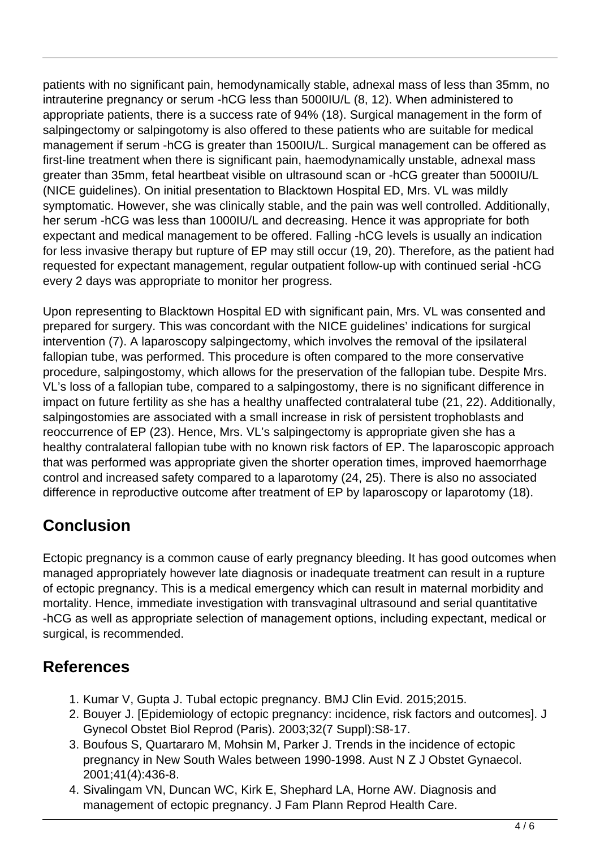patients with no significant pain, hemodynamically stable, adnexal mass of less than 35mm, no intrauterine pregnancy or serum -hCG less than 5000IU/L (8, 12). When administered to appropriate patients, there is a success rate of 94% (18). Surgical management in the form of salpingectomy or salpingotomy is also offered to these patients who are suitable for medical management if serum -hCG is greater than 1500IU/L. Surgical management can be offered as first-line treatment when there is significant pain, haemodynamically unstable, adnexal mass greater than 35mm, fetal heartbeat visible on ultrasound scan or -hCG greater than 5000IU/L (NICE guidelines). On initial presentation to Blacktown Hospital ED, Mrs. VL was mildly symptomatic. However, she was clinically stable, and the pain was well controlled. Additionally, her serum -hCG was less than 1000IU/L and decreasing. Hence it was appropriate for both expectant and medical management to be offered. Falling -hCG levels is usually an indication for less invasive therapy but rupture of EP may still occur (19, 20). Therefore, as the patient had requested for expectant management, regular outpatient follow-up with continued serial -hCG every 2 days was appropriate to monitor her progress.

Upon representing to Blacktown Hospital ED with significant pain, Mrs. VL was consented and prepared for surgery. This was concordant with the NICE guidelines' indications for surgical intervention (7). A laparoscopy salpingectomy, which involves the removal of the ipsilateral fallopian tube, was performed. This procedure is often compared to the more conservative procedure, salpingostomy, which allows for the preservation of the fallopian tube. Despite Mrs. VL's loss of a fallopian tube, compared to a salpingostomy, there is no significant difference in impact on future fertility as she has a healthy unaffected contralateral tube (21, 22). Additionally, salpingostomies are associated with a small increase in risk of persistent trophoblasts and reoccurrence of EP (23). Hence, Mrs. VL's salpingectomy is appropriate given she has a healthy contralateral fallopian tube with no known risk factors of EP. The laparoscopic approach that was performed was appropriate given the shorter operation times, improved haemorrhage control and increased safety compared to a laparotomy (24, 25). There is also no associated difference in reproductive outcome after treatment of EP by laparoscopy or laparotomy (18).

## **Conclusion**

Ectopic pregnancy is a common cause of early pregnancy bleeding. It has good outcomes when managed appropriately however late diagnosis or inadequate treatment can result in a rupture of ectopic pregnancy. This is a medical emergency which can result in maternal morbidity and mortality. Hence, immediate investigation with transvaginal ultrasound and serial quantitative -hCG as well as appropriate selection of management options, including expectant, medical or surgical, is recommended.

### **References**

- 1. Kumar V, Gupta J. Tubal ectopic pregnancy. BMJ Clin Evid. 2015;2015.
- 2. Bouyer J. [Epidemiology of ectopic pregnancy: incidence, risk factors and outcomes]. J Gynecol Obstet Biol Reprod (Paris). 2003;32(7 Suppl):S8-17.
- 3. Boufous S, Quartararo M, Mohsin M, Parker J. Trends in the incidence of ectopic pregnancy in New South Wales between 1990-1998. Aust N Z J Obstet Gynaecol. 2001;41(4):436-8.
- 4. Sivalingam VN, Duncan WC, Kirk E, Shephard LA, Horne AW. Diagnosis and management of ectopic pregnancy. J Fam Plann Reprod Health Care.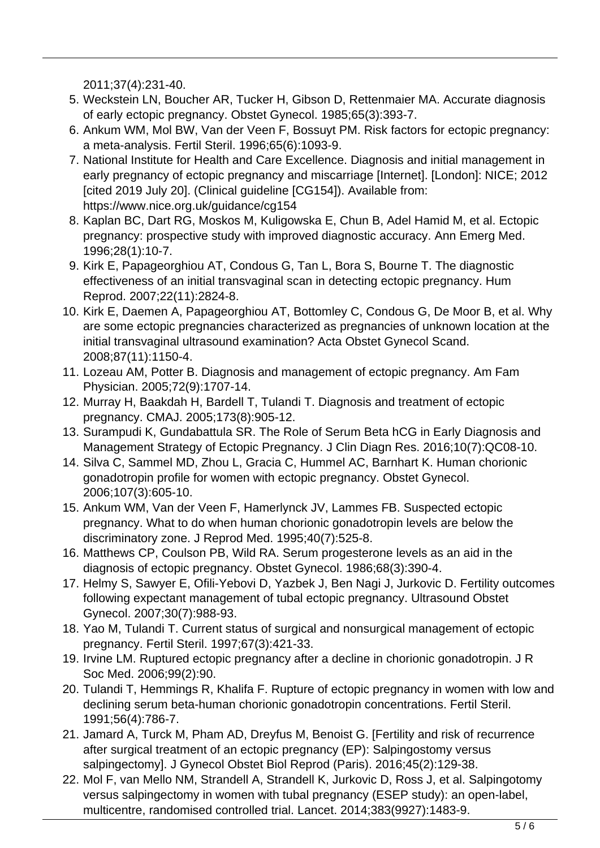2011;37(4):231-40.

- 5. Weckstein LN, Boucher AR, Tucker H, Gibson D, Rettenmaier MA. Accurate diagnosis of early ectopic pregnancy. Obstet Gynecol. 1985;65(3):393-7.
- 6. Ankum WM, Mol BW, Van der Veen F, Bossuyt PM. Risk factors for ectopic pregnancy: a meta-analysis. Fertil Steril. 1996;65(6):1093-9.
- 7. National Institute for Health and Care Excellence. Diagnosis and initial management in early pregnancy of ectopic pregnancy and miscarriage [Internet]. [London]: NICE; 2012 [cited 2019 July 20]. (Clinical guideline [CG154]). Available from: https://www.nice.org.uk/guidance/cg154
- 8. Kaplan BC, Dart RG, Moskos M, Kuligowska E, Chun B, Adel Hamid M, et al. Ectopic pregnancy: prospective study with improved diagnostic accuracy. Ann Emerg Med. 1996;28(1):10-7.
- 9. Kirk E, Papageorghiou AT, Condous G, Tan L, Bora S, Bourne T. The diagnostic effectiveness of an initial transvaginal scan in detecting ectopic pregnancy. Hum Reprod. 2007;22(11):2824-8.
- 10. Kirk E, Daemen A, Papageorghiou AT, Bottomley C, Condous G, De Moor B, et al. Why are some ectopic pregnancies characterized as pregnancies of unknown location at the initial transvaginal ultrasound examination? Acta Obstet Gynecol Scand. 2008;87(11):1150-4.
- 11. Lozeau AM, Potter B. Diagnosis and management of ectopic pregnancy. Am Fam Physician. 2005;72(9):1707-14.
- 12. Murray H, Baakdah H, Bardell T, Tulandi T. Diagnosis and treatment of ectopic pregnancy. CMAJ. 2005;173(8):905-12.
- 13. Surampudi K, Gundabattula SR. The Role of Serum Beta hCG in Early Diagnosis and Management Strategy of Ectopic Pregnancy. J Clin Diagn Res. 2016;10(7):QC08-10.
- 14. Silva C, Sammel MD, Zhou L, Gracia C, Hummel AC, Barnhart K. Human chorionic gonadotropin profile for women with ectopic pregnancy. Obstet Gynecol. 2006;107(3):605-10.
- 15. Ankum WM, Van der Veen F, Hamerlynck JV, Lammes FB. Suspected ectopic pregnancy. What to do when human chorionic gonadotropin levels are below the discriminatory zone. J Reprod Med. 1995;40(7):525-8.
- 16. Matthews CP, Coulson PB, Wild RA. Serum progesterone levels as an aid in the diagnosis of ectopic pregnancy. Obstet Gynecol. 1986;68(3):390-4.
- 17. Helmy S, Sawyer E, Ofili-Yebovi D, Yazbek J, Ben Nagi J, Jurkovic D. Fertility outcomes following expectant management of tubal ectopic pregnancy. Ultrasound Obstet Gynecol. 2007;30(7):988-93.
- 18. Yao M, Tulandi T. Current status of surgical and nonsurgical management of ectopic pregnancy. Fertil Steril. 1997;67(3):421-33.
- 19. Irvine LM. Ruptured ectopic pregnancy after a decline in chorionic gonadotropin. J R Soc Med. 2006;99(2):90.
- 20. Tulandi T, Hemmings R, Khalifa F. Rupture of ectopic pregnancy in women with low and declining serum beta-human chorionic gonadotropin concentrations. Fertil Steril. 1991;56(4):786-7.
- 21. Jamard A, Turck M, Pham AD, Dreyfus M, Benoist G. [Fertility and risk of recurrence after surgical treatment of an ectopic pregnancy (EP): Salpingostomy versus salpingectomy]. J Gynecol Obstet Biol Reprod (Paris). 2016;45(2):129-38.
- 22. Mol F, van Mello NM, Strandell A, Strandell K, Jurkovic D, Ross J, et al. Salpingotomy versus salpingectomy in women with tubal pregnancy (ESEP study): an open-label, multicentre, randomised controlled trial. Lancet. 2014;383(9927):1483-9.